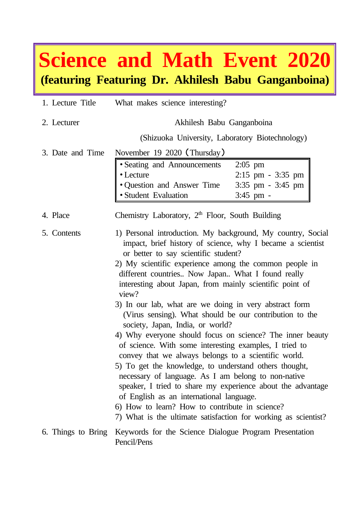## **Science and Math Event 2020 (featuring Featuring Dr. Akhilesh Babu Ganganboina)**

| 1. Lecture Title | What makes science interesting?                                                                                                                                                                                                                                                                                                                                                                                                                                                                                                                                                                                                                                                                                                                                                                                                                                                                                                                                                                                                               |
|------------------|-----------------------------------------------------------------------------------------------------------------------------------------------------------------------------------------------------------------------------------------------------------------------------------------------------------------------------------------------------------------------------------------------------------------------------------------------------------------------------------------------------------------------------------------------------------------------------------------------------------------------------------------------------------------------------------------------------------------------------------------------------------------------------------------------------------------------------------------------------------------------------------------------------------------------------------------------------------------------------------------------------------------------------------------------|
| 2. Lecturer      | Akhilesh Babu Ganganboina                                                                                                                                                                                                                                                                                                                                                                                                                                                                                                                                                                                                                                                                                                                                                                                                                                                                                                                                                                                                                     |
|                  | (Shizuoka University, Laboratory Biotechnology)                                                                                                                                                                                                                                                                                                                                                                                                                                                                                                                                                                                                                                                                                                                                                                                                                                                                                                                                                                                               |
| 3. Date and Time | November 19 2020 (Thursday)<br>• Seating and Announcements<br>$2:05$ pm<br>• Lecture<br>$2:15$ pm - $3:35$ pm<br>· Question and Answer Time<br>$3:35$ pm - $3:45$ pm<br>· Student Evaluation<br>3:45 pm -                                                                                                                                                                                                                                                                                                                                                                                                                                                                                                                                                                                                                                                                                                                                                                                                                                     |
| 4. Place         | Chemistry Laboratory, 2 <sup>th</sup> Floor, South Building                                                                                                                                                                                                                                                                                                                                                                                                                                                                                                                                                                                                                                                                                                                                                                                                                                                                                                                                                                                   |
| 5. Contents      | 1) Personal introduction. My background, My country, Social<br>impact, brief history of science, why I became a scientist<br>or better to say scientific student?<br>2) My scientific experience among the common people in<br>different countries Now Japan What I found really<br>interesting about Japan, from mainly scientific point of<br>view?<br>3) In our lab, what are we doing in very abstract form<br>(Virus sensing). What should be our contribution to the<br>society, Japan, India, or world?<br>4) Why everyone should focus on science? The inner beauty<br>of science. With some interesting examples, I tried to<br>convey that we always belongs to a scientific world.<br>5) To get the knowledge, to understand others thought,<br>necessary of language. As I am belong to non-native<br>speaker, I tried to share my experience about the advantage<br>of English as an international language.<br>6) How to learn? How to contribute in science?<br>7) What is the ultimate satisfaction for working as scientist? |
|                  | 6. Things to Bring Keywords for the Science Dialogue Program Presentation<br>Pencil/Pens                                                                                                                                                                                                                                                                                                                                                                                                                                                                                                                                                                                                                                                                                                                                                                                                                                                                                                                                                      |